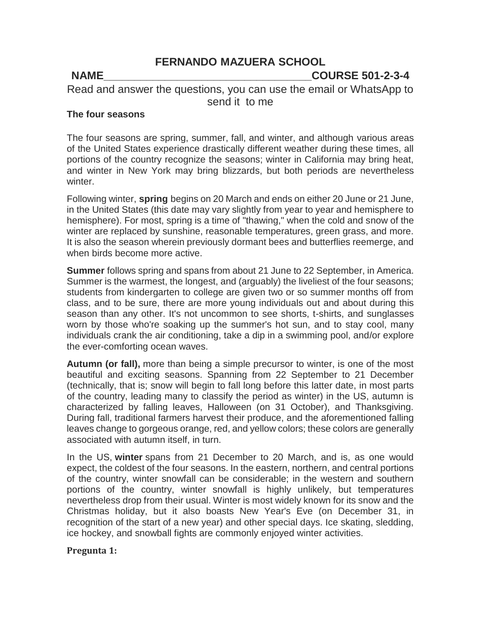#### **FERNANDO MAZUERA SCHOOL**

#### **NAME\_\_\_\_\_\_\_\_\_\_\_\_\_\_\_\_\_\_\_\_\_\_\_\_\_\_\_\_\_\_\_\_\_\_COURSE 501-2-3-4**

Read and answer the questions, you can use the email or WhatsApp to send it to me

#### **The four seasons**

The four seasons are spring, summer, fall, and winter, and although various areas of the United States experience drastically different weather during these times, all portions of the country recognize the seasons; winter in California may bring heat, and winter in New York may bring blizzards, but both periods are nevertheless winter.

Following winter, **spring** begins on 20 March and ends on either 20 June or 21 June, in the United States (this date may vary slightly from year to year and hemisphere to hemisphere). For most, spring is a time of "thawing," when the cold and snow of the winter are replaced by sunshine, reasonable temperatures, green grass, and more. It is also the season wherein previously dormant bees and butterflies reemerge, and when birds become more active.

**Summer** follows spring and spans from about 21 June to 22 September, in America. Summer is the warmest, the longest, and (arguably) the liveliest of the four seasons; students from kindergarten to college are given two or so summer months off from class, and to be sure, there are more young individuals out and about during this season than any other. It's not uncommon to see shorts, t-shirts, and sunglasses worn by those who're soaking up the summer's hot sun, and to stay cool, many individuals crank the air conditioning, take a dip in a swimming pool, and/or explore the ever-comforting ocean waves.

**Autumn (or fall),** more than being a simple precursor to winter, is one of the most beautiful and exciting seasons. Spanning from 22 September to 21 December (technically, that is; snow will begin to fall long before this latter date, in most parts of the country, leading many to classify the period as winter) in the US, autumn is characterized by falling leaves, Halloween (on 31 October), and Thanksgiving. During fall, traditional farmers harvest their produce, and the aforementioned falling leaves change to gorgeous orange, red, and yellow colors; these colors are generally associated with autumn itself, in turn.

In the US, **winter** spans from 21 December to 20 March, and is, as one would expect, the coldest of the four seasons. In the eastern, northern, and central portions of the country, winter snowfall can be considerable; in the western and southern portions of the country, winter snowfall is highly unlikely, but temperatures nevertheless drop from their usual. Winter is most widely known for its snow and the Christmas holiday, but it also boasts New Year's Eve (on December 31, in recognition of the start of a new year) and other special days. Ice skating, sledding, ice hockey, and snowball fights are commonly enjoyed winter activities.

**Pregunta 1:**